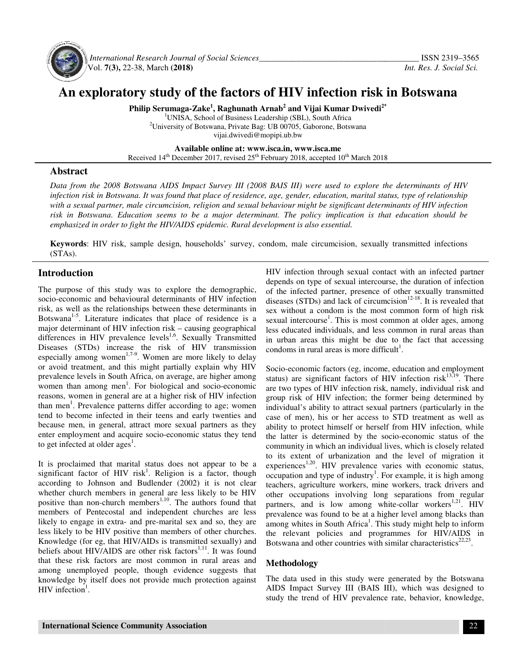

 *International Research Journal Journal of Social Sciences\_\_\_\_\_\_\_\_\_\_\_\_\_\_\_\_\_\_\_\_\_\_\_\_\_\_\_\_\_\_\_\_\_\_\_* Vol. **7(3),** 22-38, March **(2018)**

# An exploratory study of the factors of HIV infection risk in Botswana

**Philip Serumaga-Zake Zake<sup>1</sup> , Raghunath Arnab<sup>2</sup> and Vijai Kumar Dwivedi2\***

<sup>1</sup>UNISA, School of Business Leadership (SBL), South Africa <sup>2</sup>University of Botswana, Private Bag: UB 00705, Gaborone, Botswana vijai.dwivedi@mopipi.ub.bw

**Available Available online at: www.isca.in, www.isca.me**  Received 14<sup>th</sup> December 2017, revised 25<sup>th</sup> February 2018, accepted 10<sup>th</sup> March 2018

## **Abstract**

*Data from the 2008 Botswana AIDS Impact Survey III (2008 BAIS III) were used to explore the determinants of HIV infection risk in Botswana. It was found that place of residence, age, gender, education, marital status, type of relat with a sexual partner, male circumcision, religion and sexual behaviour might be significant determinants of HIV infection risk in Botswana. Education seems to be a major determinant. The policy implication is that education should be emphasized in order to fight the HIV/AIDS epidemic. Rural development is also essential. from the 2008 Botswana AIDS Impact Survey III (2008 BAIS III) were used to explore the determinants tion risk in Botswana. It was found that place of residence, age, gender, education, marital status, type of relata sexua relationship* 

**Keywords**: HIV risk, sample design, households' survey, condom, male circumcision, sexually transmitted infections (STAs).

## **Introduction**

The purpose of this study was to explore the demographic, socio-economic and behavioural determinants of HIV infection risk, as well as the relationships between these determinants in Botswana<sup>1-5</sup>. Literature indicates that place of residence is a major determinant of HIV infection risk – causing geographical differences in HIV prevalence levels<sup>1,6</sup>. Sexually Transmitted Diseases (STDs) increase the risk of HIV transmission especially among women<sup>1,7-9</sup>. Women are more likely to delay or avoid treatment, and this might partially explain why HIV prevalence levels in South Africa, on average, are higher among women than among men<sup>1</sup>. For biological and socio reasons, women in general are at a higher risk of HIV infection than men<sup>1</sup>. Prevalence patterns differ according to age; women tend to become infected in their teens and early twenties and because men, in general, attract more sexual partners as they enter employment and acquire socio-economic status they tend to get infected at older  $ages<sup>1</sup>$ . **Example of TAS.** Sample design, households' survey, condom, male circumcision, sexually transmitted (STAs).<br> **Introduction** HIV infection through sexual contact with an idepends on type of sexual intercourse, the duratio

It is proclaimed that marital status does not appear to be a significant factor of HIV risk<sup>1</sup>. Religion is a factor, though according to Johnson and Budlender (2002) it is not clear whether church members in general are less likely to be HIV positive than non-church members<sup>1,10</sup>. The authors found that members of Pentecostal and independent churches are less likely to engage in extra- and pre-marital sex and so, they are less likely to be HIV positive than members of other churches. Knowledge (for eg, that HIV/AIDs is transmitted sexually) and beliefs about HIV/AIDS are other risk factors<sup>1,11</sup>. It was found that these risk factors are most common in rural areas and among unemployed people, though evidence suggests that among unemployed people, though evidence suggests that<br>knowledge by itself does not provide much protection against  $HIV$  infection<sup>1</sup>. reasons, women in general are at a higher risk of HIV infection<br>than men<sup>1</sup>. Prevalence patterns differ according to age; women<br>tend to become infected in their teens and early twenties and<br>because men, in general, attract

HIV infection through sexual contact with an infected partner HIV infection through sexual contact with an infected partner depends on type of sexual intercourse, the duration of infection of the infected partner, presence of other sexually transmitted of the infected partner, presence of other sexually transmitted diseases (STDs) and lack of circumcision<sup>12-18</sup>. It is revealed that sex without a condom is the most common form of high risk sexual intercourse<sup>1</sup>. This is most common at older ages, among less educated individuals, and less common in rural areas than in urban areas this might be due to the fact that accessing condoms in rural areas is more difficult<sup>1</sup>. a condom is the most common form of high risk<br>ourse<sup>1</sup>. This is most common at older ages, among<br>1 individuals, and less common in rural areas than<br>aas this might be due to the fact that accessing

Socio-economic factors (eg, income, education and employment Socio-economic factors (eg, income, education and employment status) are significant factors of HIV infection risk<sup>13,19</sup>. There are two types of HIV infection risk, namely, individual risk and group risk of HIV infection; the former being determined by individual's ability to attract sexual partners (particularly in the case of men), his or her access to STD treatment as well as ability to protect himself or herself from HIV infection, while the latter is determined by the socio-economic status of the community in which an individual lives, which is closely related to its extent of urbanization and the level of migration it experiences<sup>1,20</sup>. HIV prevalence varies with economic status, occupation and type of industry<sup>1</sup>. For example, it is high among teachers, agriculture workers, mine workers, track drivers and other occupations involving long separations from regular partners, and is low among white-collar workers<sup>1,21</sup>. HIV prevalence was found to be at a higher level among blacks than among whites in South Africa<sup>1</sup>. This study might help to inform the relevant policies and programmes for HIV/AIDS in prevalence was found to be at a higher level among blacks the among whites in South Africa<sup>1</sup>. This study might help to inforthe relevant policies and programmes for HIV/AIDS Botswana and other countries with similar chara re two types of HIV infection risk, namely, individual risk and<br>roup risk of HIV infection; the former being determined by<br>ndividual's ability to attract sexual partners (particularly in the<br>ase of men), his or her access its extent of urbanization and the level of migration it eriences<sup>1,20</sup>. HIV prevalence varies with economic status, upation and type of industry<sup>1</sup>. For example, it is high among hers, agriculture workers, mine workers,

#### **Methodology**

The data used in this study were generated by the Botswana AIDS Impact Survey III (BAIS III), which was designed to study the trend of HIV prevalence rate, behavior, knowledge, ata used in this study were generated by the<br>Impact Survey III (BAIS III), which was de<br>the trend of HIV prevalence rate, behavior, k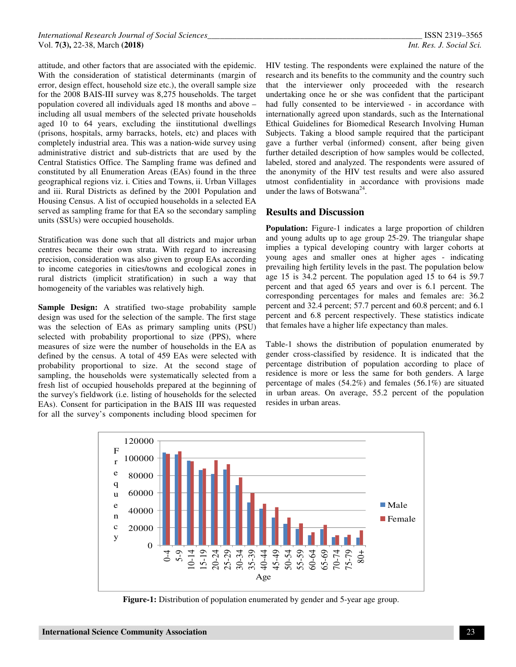attitude, and other factors that are associated with the epidemic. With the consideration of statistical determinants (margin of error, design effect, household size etc.), the overall sample size for the 2008 BAIS-III survey was 8,275 households. The target population covered all individuals aged 18 months and above – including all usual members of the selected private households aged 10 to 64 years, excluding the iinstitutional dwellings (prisons, hospitals, army barracks, hotels, etc) and places with completely industrial area. This was a nation-wide survey using administrative district and sub-districts that are used by the Central Statistics Office. The Sampling frame was defined and constituted by all Enumeration Areas (EAs) found in the three geographical regions viz. i. Cities and Towns, ii. Urban Villages and iii. Rural Districts as defined by the 2001 Population and Housing Census. A list of occupied households in a selected EA served as sampling frame for that EA so the secondary sampling units (SSUs) were occupied households.

Stratification was done such that all districts and major urban centres became their own strata. With regard to increasing precision, consideration was also given to group EAs according to income categories in cities/towns and ecological zones in rural districts (implicit stratification) in such a way that homogeneity of the variables was relatively high.

**Sample Design:** A stratified two-stage probability sample design was used for the selection of the sample. The first stage was the selection of EAs as primary sampling units (PSU) selected with probability proportional to size (PPS), where measures of size were the number of households in the EA as defined by the census. A total of 459 EAs were selected with probability proportional to size. At the second stage of sampling, the households were systematically selected from a fresh list of occupied households prepared at the beginning of the survey's fieldwork (i.e. listing of households for the selected EAs). Consent for participation in the BAIS III was requested for all the survey's components including blood specimen for

HIV testing. The respondents were explained the nature of the research and its benefits to the community and the country such that the interviewer only proceeded with the research undertaking once he or she was confident that the participant had fully consented to be interviewed - in accordance with internationally agreed upon standards, such as the International Ethical Guidelines for Biomedical Research Involving Human Subjects. Taking a blood sample required that the participant gave a further verbal (informed) consent, after being given further detailed description of how samples would be collected, labeled, stored and analyzed. The respondents were assured of the anonymity of the HIV test results and were also assured utmost confidentiality in accordance with provisions made under the laws of Botswana<sup>24</sup>.

#### **Results and Discussion**

**Population:** Figure-1 indicates a large proportion of children and young adults up to age group 25-29. The triangular shape implies a typical developing country with larger cohorts at young ages and smaller ones at higher ages - indicating prevailing high fertility levels in the past. The population below age 15 is 34.2 percent. The population aged 15 to 64 is 59.7 percent and that aged 65 years and over is 6.1 percent. The corresponding percentages for males and females are: 36.2 percent and 32.4 percent; 57.7 percent and 60.8 percent; and 6.1 percent and 6.8 percent respectively. These statistics indicate that females have a higher life expectancy than males.

Table-1 shows the distribution of population enumerated by gender cross-classified by residence. It is indicated that the percentage distribution of population according to place of residence is more or less the same for both genders. A large percentage of males (54.2%) and females (56.1%) are situated in urban areas. On average, 55.2 percent of the population resides in urban areas.



**Figure-1:** Distribution of population enumerated by gender and 5-year age group.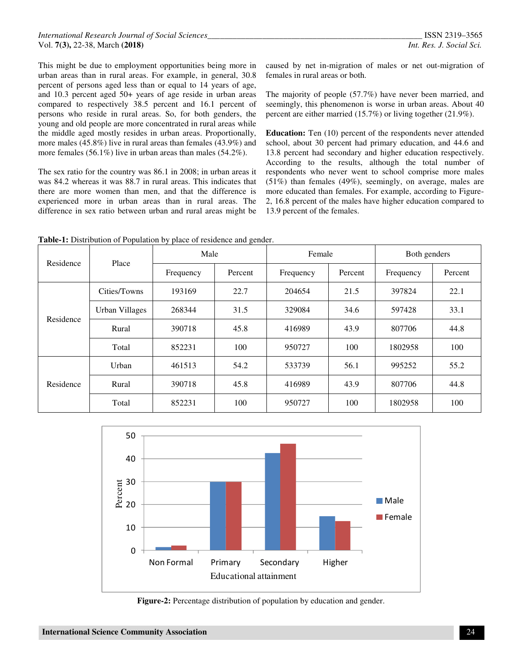This might be due to employment opportunities being more in urban areas than in rural areas. For example, in general, 30.8 percent of persons aged less than or equal to 14 years of age, and 10.3 percent aged 50+ years of age reside in urban areas compared to respectively 38.5 percent and 16.1 percent of persons who reside in rural areas. So, for both genders, the young and old people are more concentrated in rural areas while the middle aged mostly resides in urban areas. Proportionally, more males (45.8%) live in rural areas than females (43.9%) and more females (56.1%) live in urban areas than males (54.2%).

The sex ratio for the country was 86.1 in 2008; in urban areas it was 84.2 whereas it was 88.7 in rural areas. This indicates that there are more women than men, and that the difference is experienced more in urban areas than in rural areas. The difference in sex ratio between urban and rural areas might be caused by net in-migration of males or net out-migration of females in rural areas or both.

The majority of people (57.7%) have never been married, and seemingly, this phenomenon is worse in urban areas. About 40 percent are either married (15.7%) or living together (21.9%).

**Education:** Ten (10) percent of the respondents never attended school, about 30 percent had primary education, and 44.6 and 13.8 percent had secondary and higher education respectively. According to the results, although the total number of respondents who never went to school comprise more males (51%) than females (49%), seemingly, on average, males are more educated than females. For example, according to Figure-2, 16.8 percent of the males have higher education compared to 13.9 percent of the females.

**Table-1:** Distribution of Population by place of residence and gender.

| Residence | Place          | Male      |         | Female    |         | Both genders |         |
|-----------|----------------|-----------|---------|-----------|---------|--------------|---------|
|           |                | Frequency | Percent | Frequency | Percent | Frequency    | Percent |
| Residence | Cities/Towns   | 193169    | 22.7    | 204654    | 21.5    | 397824       | 22.1    |
|           | Urban Villages | 268344    | 31.5    | 329084    | 34.6    | 597428       | 33.1    |
|           | Rural          | 390718    | 45.8    | 416989    | 43.9    | 807706       | 44.8    |
|           | Total          | 852231    | 100     | 950727    | 100     | 1802958      | 100     |
| Residence | Urban          | 461513    | 54.2    | 533739    | 56.1    | 995252       | 55.2    |
|           | Rural          | 390718    | 45.8    | 416989    | 43.9    | 807706       | 44.8    |
|           | Total          | 852231    | 100     | 950727    | 100     | 1802958      | 100     |



**Figure-2:** Percentage distribution of population by education and gender.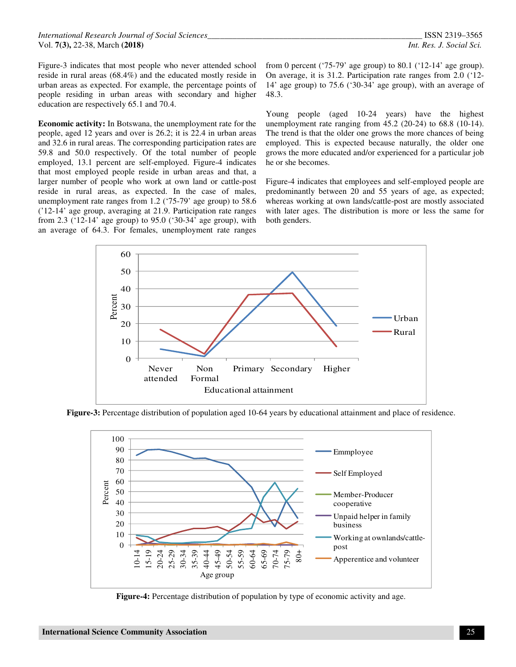Figure-3 indicates that most people who never attended school reside in rural areas (68.4%) and the educated mostly reside in urban areas as expected. For example, the percentage points of people residing in urban areas with secondary and higher education are respectively 65.1 and 70.4.

**Economic activity:** In Botswana, the unemployment rate for the people, aged 12 years and over is 26.2; it is 22.4 in urban areas and 32.6 in rural areas. The corresponding participation rates are 59.8 and 50.0 respectively. Of the total number of people employed, 13.1 percent are self-employed. Figure-4 indicates that most employed people reside in urban areas and that, a larger number of people who work at own land or cattle-post reside in rural areas, as expected. In the case of males, unemployment rate ranges from 1.2 ('75-79' age group) to 58.6 ('12-14' age group, averaging at 21.9. Participation rate ranges from 2.3 ('12-14' age group) to 95.0 ('30-34' age group), with an average of 64.3. For females, unemployment rate ranges

from 0 percent ('75-79' age group) to 80.1 ('12-14' age group). On average, it is 31.2. Participation rate ranges from 2.0 ('12- 14' age group) to 75.6 ('30-34' age group), with an average of 48.3.

Young people (aged 10-24 years) have the highest unemployment rate ranging from 45.2 (20-24) to 68.8 (10-14). The trend is that the older one grows the more chances of being employed. This is expected because naturally, the older one grows the more educated and/or experienced for a particular job he or she becomes.

Figure-4 indicates that employees and self-employed people are predominantly between 20 and 55 years of age, as expected; whereas working at own lands/cattle-post are mostly associated with later ages. The distribution is more or less the same for both genders.



**Figure-3:** Percentage distribution of population aged 10-64 years by educational attainment and place of residence.



**Figure-4:** Percentage distribution of population by type of economic activity and age.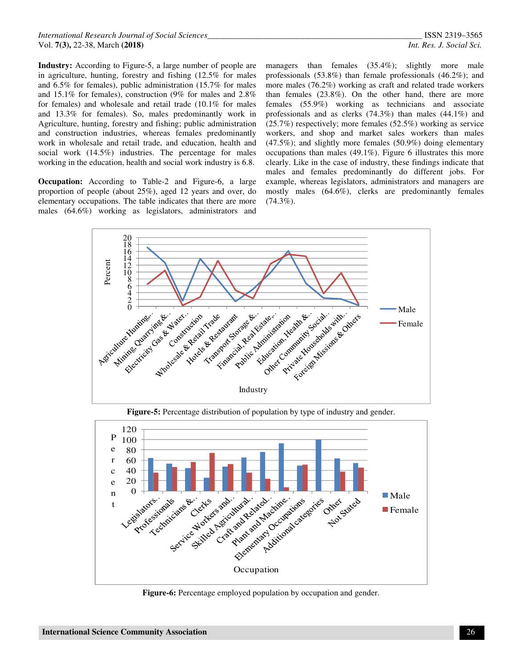*International Research Journal of Social Sciences\_\_\_\_\_\_\_\_\_\_\_\_\_\_\_\_\_\_\_\_\_\_\_\_\_\_\_\_\_\_\_\_\_\_\_\_\_\_\_\_\_\_\_\_\_\_\_\_\_\_\_* ISSN 2319–3565 Vol. **7(3),** 22-38, March **(2018)** *Int. Res. J. Social Sci.*

**Industry:** According to Figure-5, a large number of people are in agriculture, hunting, forestry and fishing (12.5% for males and 6.5% for females), public administration (15.7% for males and 15.1% for females), construction (9% for males and 2.8% for females) and wholesale and retail trade (10.1% for males and 13.3% for females). So, males predominantly work in Agriculture, hunting, forestry and fishing; public administration and construction industries, whereas females predominantly work in wholesale and retail trade, and education, health and social work (14.5%) industries. The percentage for males working in the education, health and social work industry is 6.8.

**Occupation:** According to Table-2 and Figure-6, a large proportion of people (about 25%), aged 12 years and over, do elementary occupations. The table indicates that there are more males (64.6%) working as legislators, administrators and

managers than females (35.4%); slightly more male professionals (53.8%) than female professionals (46.2%); and more males (76.2%) working as craft and related trade workers than females (23.8%). On the other hand, there are more females (55.9%) working as technicians and associate professionals and as clerks (74.3%) than males (44.1%) and (25.7%) respectively; more females (52.5%) working as service workers, and shop and market sales workers than males (47.5%); and slightly more females (50.9%) doing elementary occupations than males (49.1%). Figure 6 illustrates this more clearly. Like in the case of industry, these findings indicate that males and females predominantly do different jobs. For example, whereas legislators, administrators and managers are mostly males (64.6%), clerks are predominantly females  $(74.3\%)$ .



**Figure-5:** Percentage distribution of population by type of industry and gender.



**Figure-6:** Percentage employed population by occupation and gender.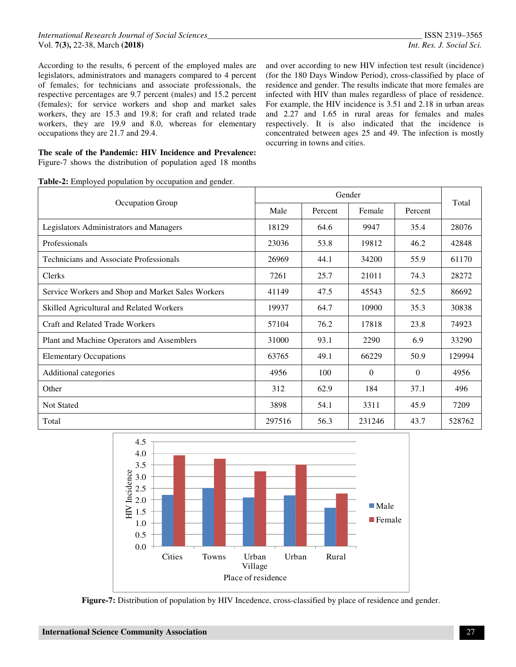According to the results, 6 percent of the employed males are legislators, administrators and managers compared to 4 percent of females; for technicians and associate professionals, the respective percentages are 9.7 percent (males) and 15.2 percent (females); for service workers and shop and market sales workers, they are 15.3 and 19.8; for craft and related trade workers, they are 19.9 and 8.0, whereas for elementary occupations they are 21.7 and 29.4.

**The scale of the Pandemic: HIV Incidence and Prevalence:**  Figure-7 shows the distribution of population aged 18 months

and over according to new HIV infection test result (incidence) (for the 180 Days Window Period), cross-classified by place of residence and gender. The results indicate that more females are infected with HIV than males regardless of place of residence. For example, the HIV incidence is 3.51 and 2.18 in urban areas and 2.27 and 1.65 in rural areas for females and males respectively. It is also indicated that the incidence is concentrated between ages 25 and 49. The infection is mostly occurring in towns and cities.

| Table-2: Employed population by occupation and gender. |
|--------------------------------------------------------|
|--------------------------------------------------------|

| Occupation Group                                  | Male   | Percent | Female   | Percent  | Total  |  |
|---------------------------------------------------|--------|---------|----------|----------|--------|--|
| Legislators Administrators and Managers           | 18129  | 64.6    | 9947     | 35.4     | 28076  |  |
| Professionals                                     | 23036  | 53.8    | 19812    | 46.2     | 42848  |  |
| Technicians and Associate Professionals           | 26969  | 44.1    | 34200    | 55.9     | 61170  |  |
| <b>Clerks</b>                                     | 7261   | 25.7    | 21011    | 74.3     | 28272  |  |
| Service Workers and Shop and Market Sales Workers | 41149  | 47.5    | 45543    | 52.5     | 86692  |  |
| Skilled Agricultural and Related Workers          | 19937  | 64.7    | 10900    | 35.3     | 30838  |  |
| <b>Craft and Related Trade Workers</b>            | 57104  | 76.2    | 17818    | 23.8     | 74923  |  |
| Plant and Machine Operators and Assemblers        | 31000  | 93.1    | 2290     | 6.9      | 33290  |  |
| <b>Elementary Occupations</b>                     | 63765  | 49.1    | 66229    | 50.9     | 129994 |  |
| Additional categories                             | 4956   | 100     | $\theta$ | $\theta$ | 4956   |  |
| Other                                             | 312    | 62.9    | 184      | 37.1     | 496    |  |
| <b>Not Stated</b>                                 | 3898   | 54.1    | 3311     | 45.9     | 7209   |  |
| Total                                             | 297516 | 56.3    | 231246   | 43.7     | 528762 |  |



**Figure-7:** Distribution of population by HIV Incedence, cross-classified by place of residence and gender.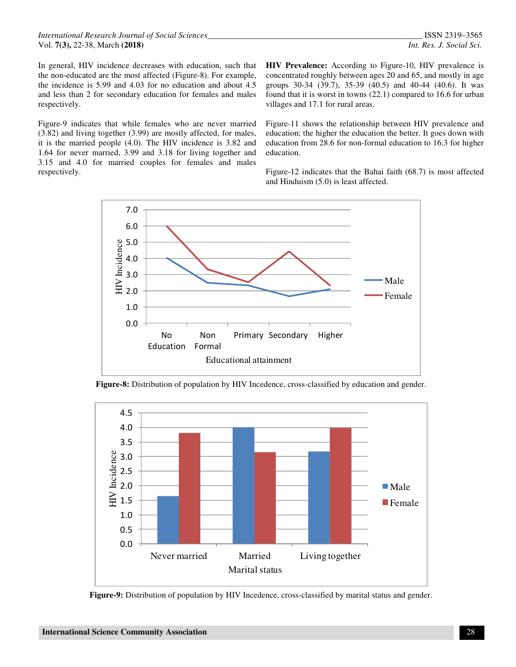In general, HIV incidence decreases with education, such that the non-educated are the most affected (Figure-8). For example, the incidence is 5.99 and 4.03 for no education and about 4.5 and less than 2 for secondary education for females and males respectively.

Figure-9 indicates that while females who are never married (3.82) and living together (3.99) are mostly affected, for males, it is the married people (4.0). The HIV incidence is 3.82 and 1.64 for never married, 3.99 and 3.18 for living together and 3.15 and 4.0 for married couples for females and males respectively.

**HIV Prevalence:** According to Figure-10, HIV prevalence is concentrated roughly between ages 20 and 65, and mostly in age groups 30-34 (39.7), 35-39 (40.5) and 40-44 (40.6). It was found that it is worst in towns (22.1) compared to 16.6 for urban villages and 17.1 for rural areas.

Figure-11 shows the relationship between HIV prevalence and education; the higher the education the better. It goes down with education from 28.6 for non-formal education to 16.3 for higher education.

Figure-12 indicates that the Bahai faith (68.7) is most affected and Hinduism (5.0) is least affected.







**Figure-9:** Distribution of population by HIV Incedence, cross-classified by marital status and gender.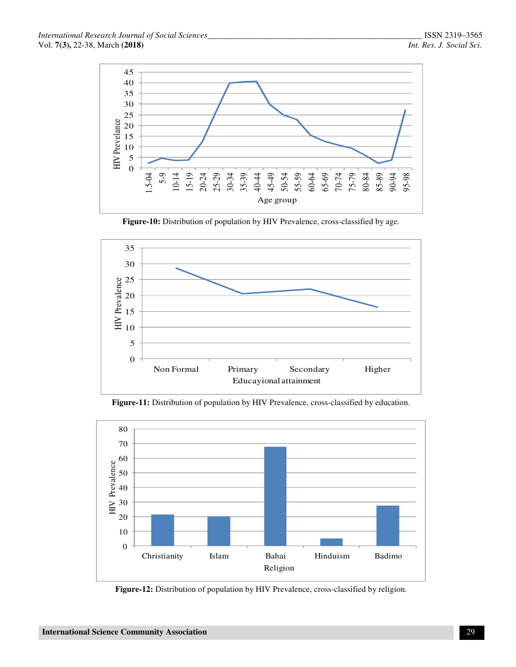

**Figure-10:** Distribution of population by HIV Prevalence, cross-classified by age.





**Figure-11:** Distribution of population by HIV Prevalence, cross-classified by education.

**Figure-12:** Distribution of population by HIV Prevalence, cross-classified by religion.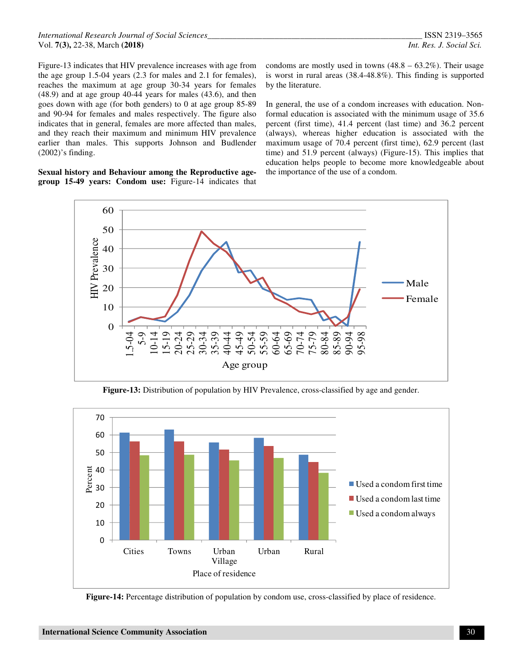Figure-13 indicates that HIV prevalence increases with age from the age group 1.5-04 years (2.3 for males and 2.1 for females), reaches the maximum at age group 30-34 years for females (48.9) and at age group 40-44 years for males (43.6), and then goes down with age (for both genders) to 0 at age group 85-89 and 90-94 for females and males respectively. The figure also indicates that in general, females are more affected than males, and they reach their maximum and minimum HIV prevalence earlier than males. This supports Johnson and Budlender (2002)'s finding.

**Sexual history and Behaviour among the Reproductive agegroup 15-49 years: Condom use:** Figure-14 indicates that

condoms are mostly used in towns  $(48.8 - 63.2\%)$ . Their usage is worst in rural areas (38.4-48.8%). This finding is supported by the literature.

In general, the use of a condom increases with education. Nonformal education is associated with the minimum usage of 35.6 percent (first time), 41.4 percent (last time) and 36.2 percent (always), whereas higher education is associated with the maximum usage of 70.4 percent (first time), 62.9 percent (last time) and 51.9 percent (always) (Figure-15). This implies that education helps people to become more knowledgeable about the importance of the use of a condom.



**Figure-13:** Distribution of population by HIV Prevalence, cross-classified by age and gender.



**Figure-14:** Percentage distribution of population by condom use, cross-classified by place of residence.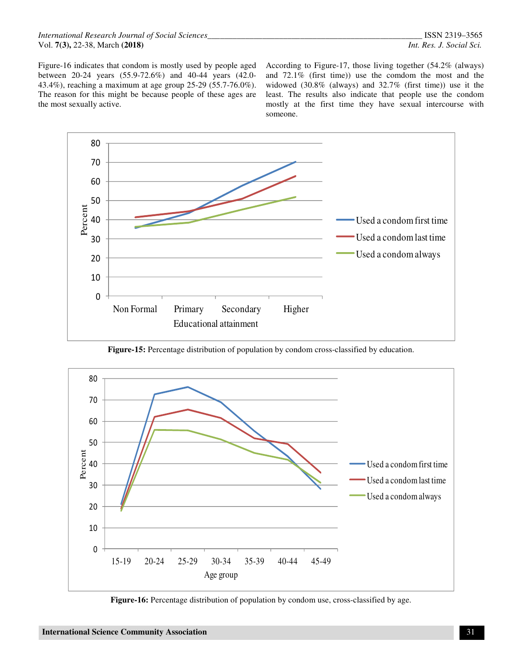Figure-16 indicates that condom is mostly used by people aged between 20-24 years (55.9-72.6%) and 40-44 years (42.0- 43.4%), reaching a maximum at age group 25-29 (55.7-76.0%). The reason for this might be because people of these ages are the most sexually active.

According to Figure-17, those living together (54.2% (always) and 72.1% (first time)) use the comdom the most and the widowed (30.8% (always) and 32.7% (first time)) use it the least. The results also indicate that people use the condom mostly at the first time they have sexual intercourse with someone.



**Figure-15:** Percentage distribution of population by condom cross-classified by education.



**Figure-16:** Percentage distribution of population by condom use, cross-classified by age.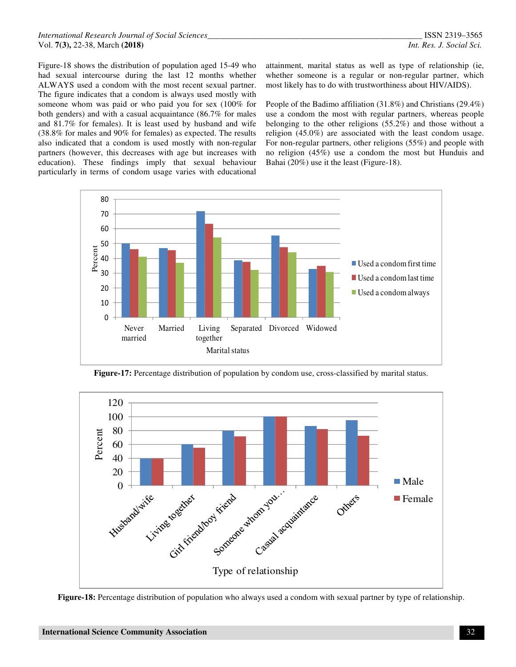Figure-18 shows the distribution of population aged 15-49 who had sexual intercourse during the last 12 months whether ALWAYS used a condom with the most recent sexual partner. The figure indicates that a condom is always used mostly with someone whom was paid or who paid you for sex (100% for both genders) and with a casual acquaintance (86.7% for males and 81.7% for females). It is least used by husband and wife (38.8% for males and 90% for females) as expected. The results also indicated that a condom is used mostly with non-regular partners (however, this decreases with age but increases with education). These findings imply that sexual behaviour particularly in terms of condom usage varies with educational

attainment, marital status as well as type of relationship (ie, whether someone is a regular or non-regular partner, which most likely has to do with trustworthiness about HIV/AIDS).

People of the Badimo affiliation (31.8%) and Christians (29.4%) use a condom the most with regular partners, whereas people belonging to the other religions (55.2%) and those without a religion (45.0%) are associated with the least condom usage. For non-regular partners, other religions (55%) and people with no religion (45%) use a condom the most but Hunduis and Bahai (20%) use it the least (Figure-18).



**Figure-17:** Percentage distribution of population by condom use, cross-classified by marital status.



**Figure-18:** Percentage distribution of population who always used a condom with sexual partner by type of relationship.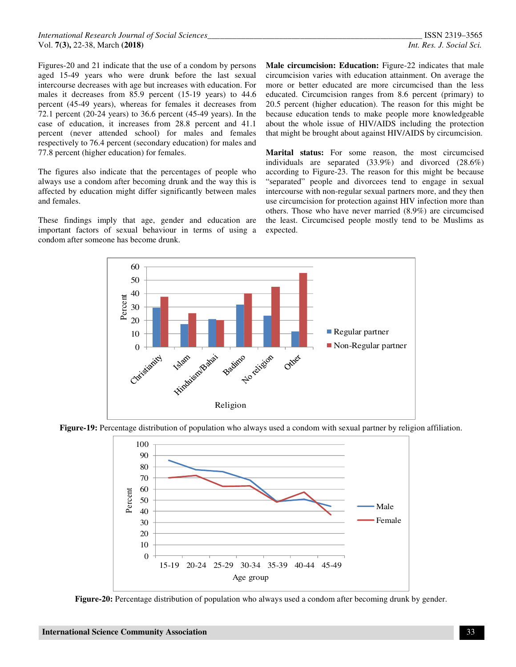Figures-20 and 21 indicate that the use of a condom by persons aged 15-49 years who were drunk before the last sexual intercourse decreases with age but increases with education. For males it decreases from 85.9 percent (15-19 years) to 44.6 percent (45-49 years), whereas for females it decreases from 72.1 percent (20-24 years) to 36.6 percent (45-49 years). In the case of education, it increases from 28.8 percent and 41.1 percent (never attended school) for males and females respectively to 76.4 percent (secondary education) for males and 77.8 percent (higher education) for females.

The figures also indicate that the percentages of people who always use a condom after becoming drunk and the way this is affected by education might differ significantly between males and females.

These findings imply that age, gender and education are important factors of sexual behaviour in terms of using a condom after someone has become drunk.

**Male circumcision: Education:** Figure-22 indicates that male circumcision varies with education attainment. On average the more or better educated are more circumcised than the less educated. Circumcision ranges from 8.6 percent (primary) to 20.5 percent (higher education). The reason for this might be because education tends to make people more knowledgeable about the whole issue of HIV/AIDS including the protection that might be brought about against HIV/AIDS by circumcision.

**Marital status:** For some reason, the most circumcised individuals are separated (33.9%) and divorced (28.6%) according to Figure-23. The reason for this might be because "separated" people and divorcees tend to engage in sexual intercourse with non-regular sexual partners more, and they then use circumcision for protection against HIV infection more than others. Those who have never married (8.9%) are circumcised the least. Circumcised people mostly tend to be Muslims as expected.



**Figure-19:** Percentage distribution of population who always used a condom with sexual partner by religion affiliation.



**Figure-20:** Percentage distribution of population who always used a condom after becoming drunk by gender.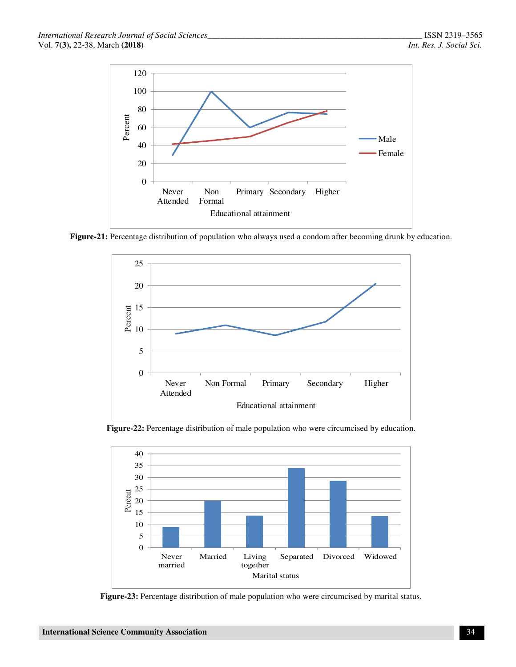

**Figure-21:** Percentage distribution of population who always used a condom after becoming drunk by education.



**Figure-22:** Percentage distribution of male population who were circumcised by education.



**Figure-23:** Percentage distribution of male population who were circumcised by marital status.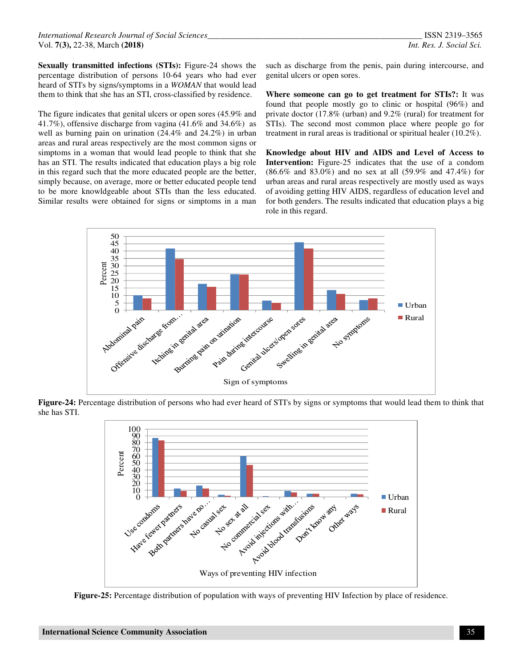**Sexually transmitted infections (STIs):** Figure-24 shows the percentage distribution of persons 10-64 years who had ever heard of STI's by signs/symptoms in a *WOMAN* that would lead them to think that she has an STI, cross-classified by residence.

The figure indicates that genital ulcers or open sores (45.9% and 41.7%), offensive discharge from vagina (41.6% and 34.6%) as well as burning pain on urination (24.4% and 24.2%) in urban areas and rural areas respectively are the most common signs or simptoms in a woman that would lead people to think that she has an STI. The results indicated that education plays a big role in this regard such that the more educated people are the better, simply because, on average, more or better educated people tend to be more knowldgeable about STIs than the less educated. Similar results were obtained for signs or simptoms in a man such as discharge from the penis, pain during intercourse, and genital ulcers or open sores.

**Where someone can go to get treatment for STIs?:** It was found that people mostly go to clinic or hospital (96%) and private doctor (17.8% (urban) and 9.2% (rural) for treatment for STIs). The second most common place where people go for treatment in rural areas is traditional or spiritual healer (10.2%).

**Knowledge about HIV and AIDS and Level of Access to Intervention:** Figure-25 indicates that the use of a condom (86.6% and 83.0%) and no sex at all (59.9% and 47.4%) for urban areas and rural areas respectively are mostly used as ways of avoiding getting HIV AIDS, regardless of education level and for both genders. The results indicated that education plays a big role in this regard.



**Figure-24:** Percentage distribution of persons who had ever heard of STI's by signs or symptoms that would lead them to think that she has STI.



**Figure-25:** Percentage distribution of population with ways of preventing HIV Infection by place of residence.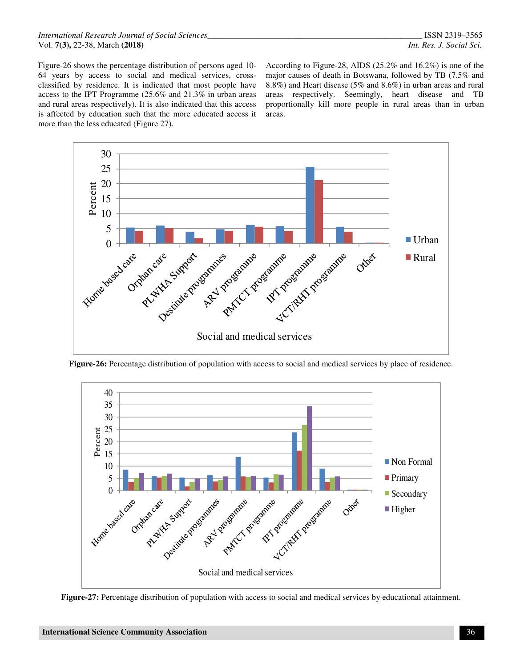Figure-26 shows the percentage distribution of persons aged 10- 64 years by access to social and medical services, crossclassified by residence. It is indicated that most people have access to the IPT Programme (25.6% and 21.3% in urban areas and rural areas respectively). It is also indicated that this access is affected by education such that the more educated access it more than the less educated (Figure 27).

According to Figure-28, AIDS (25.2% and 16.2%) is one of the major causes of death in Botswana, followed by TB (7.5% and 8.8%) and Heart disease (5% and 8.6%) in urban areas and rural areas respectively. Seemingly, heart disease and TB proportionally kill more people in rural areas than in urban areas.



**Figure-26:** Percentage distribution of population with access to social and medical services by place of residence.



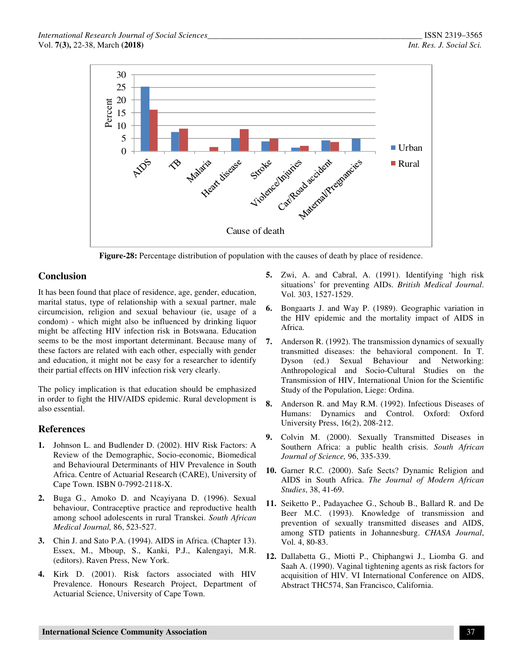

**Figure-28:** Percentage distribution of population with the causes of death by place of residence.

# **Conclusion**

It has been found that place of residence, age, gender, education, marital status, type of relationship with a sexual partner, male circumcision, religion and sexual behaviour (ie, usage of a condom) - which might also be influenced by drinking liquor might be affecting HIV infection risk in Botswana. Education seems to be the most important determinant. Because many of these factors are related with each other, especially with gender and education, it might not be easy for a researcher to identify their partial effects on HIV infection risk very clearly.

The policy implication is that education should be emphasized in order to fight the HIV/AIDS epidemic. Rural development is also essential.

# **References**

- **1.** Johnson L. and Budlender D. (2002). HIV Risk Factors: A Review of the Demographic, Socio-economic, Biomedical and Behavioural Determinants of HIV Prevalence in South Africa. Centre of Actuarial Research (CARE), University of Cape Town. ISBN 0-7992-2118-X.
- **2.** Buga G., Amoko D. and Ncayiyana D. (1996). Sexual behaviour, Contraceptive practice and reproductive health among school adolescents in rural Transkei. *South African Medical Journal,* 86, 523-527.
- **3.** Chin J. and Sato P.A. (1994). AIDS in Africa. (Chapter 13). Essex, M., Mboup, S., Kanki, P.J., Kalengayi, M.R. (editors). Raven Press, New York.
- **4.** Kirk D. (2001). Risk factors associated with HIV Prevalence. Honours Research Project, Department of Actuarial Science, University of Cape Town.
- **5.** Zwi, A. and Cabral, A. (1991). Identifying 'high risk situations' for preventing AIDs. *British Medical Journal*. Vol. 303, 1527-1529.
- **6.** Bongaarts J. and Way P. (1989). Geographic variation in the HIV epidemic and the mortality impact of AIDS in Africa.
- **7.** Anderson R. (1992). The transmission dynamics of sexually transmitted diseases: the behavioral component. In T. Dyson (ed.) Sexual Behaviour and Networking: Anthropological and Socio-Cultural Studies on the Transmission of HIV, International Union for the Scientific Study of the Population, Liege: Ordina.
- **8.** Anderson R. and May R.M. (1992). Infectious Diseases of Humans: Dynamics and Control. Oxford: Oxford University Press, 16(2), 208-212.
- **9.** Colvin M. (2000). Sexually Transmitted Diseases in Southern Africa: a public health crisis. *South African Journal of Science,* 96, 335-339.
- **10.** Garner R.C. (2000). Safe Sects? Dynamic Religion and AIDS in South Africa. *The Journal of Modern African Studies*, 38, 41-69.
- **11.** Seiketto P., Padayachee G., Schoub B., Ballard R. and De Beer M.C. (1993). Knowledge of transmission and prevention of sexually transmitted diseases and AIDS, among STD patients in Johannesburg. *CHASA Journal*, Vol. 4, 80-83.
- **12.** Dallabetta G., Miotti P., Chiphangwi J., Liomba G. and Saah A. (1990). Vaginal tightening agents as risk factors for acquisition of HIV. VI International Conference on AIDS, Abstract THC574, San Francisco, California.